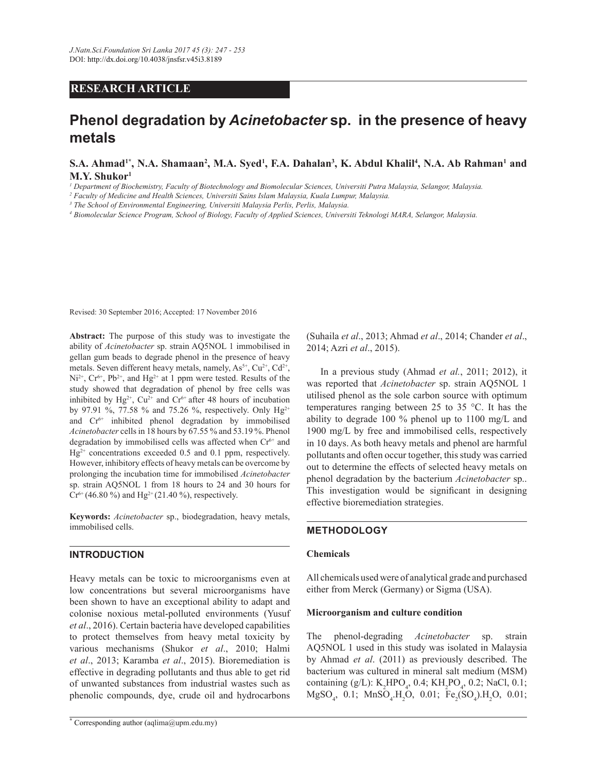## **RESEARCH ARTICLE**

# **Phenol degradation by** *Acinetobacter* **sp. in the presence of heavy metals**

**S.A. Ahmad1\*, N.A. Shamaan<sup>2</sup> , M.A. Syed<sup>1</sup> , F.A. Dahalan<sup>3</sup> , K. Abdul Khalil<sup>4</sup> , N.A. Ab Rahman<sup>1</sup> and M.Y. Shukor<sup>1</sup>**

*1 Department of Biochemistry, Faculty of Biotechnology and Biomolecular Sciences, Universiti Putra Malaysia, Selangor, Malaysia.*

*2 Faculty of Medicine and Health Sciences, Universiti Sains Islam Malaysia, Kuala Lumpur, Malaysia.*

*3 The School of Environmental Engineering, Universiti Malaysia Perlis, Perlis, Malaysia.*

*4 Biomolecular Science Program, School of Biology, Faculty of Applied Sciences, Universiti Teknologi MARA, Selangor, Malaysia.*

Revised: 30 September 2016; Accepted: 17 November 2016

Abstract: The purpose of this study was to investigate the ability of *Acinetobacter* sp. strain AQ5NOL 1 immobilised in gellan gum beads to degrade phenol in the presence of heavy metals. Seven different heavy metals, namely,  $As<sup>5+</sup>, Cu<sup>2+</sup>, Cd<sup>2+</sup>,$  $Ni^{2+}$ ,  $Cr^{6+}$ ,  $Pb^{2+}$ , and  $Hg^{2+}$  at 1 ppm were tested. Results of the study showed that degradation of phenol by free cells was inhibited by  $Hg^{2+}$ ,  $Cu^{2+}$  and  $Cr^{6+}$  after 48 hours of incubation by 97.91 %, 77.58 % and 75.26 %, respectively. Only  $Hg^{2+}$ and  $Cr^{6+}$  inhibited phenol degradation by immobilised *Acinetobacter* cells in 18 hours by 67.55 % and 53.19 %. Phenol degradation by immobilised cells was affected when  $Cr^{6+}$  and  $Hg^{2+}$  concentrations exceeded 0.5 and 0.1 ppm, respectively. However, inhibitory effects of heavy metals can be overcome by prolonging the incubation time for immobilised *Acinetobacter* sp. strain AQ5NOL 1 from 18 hours to 24 and 30 hours for  $Cr^{6+}(46.80\%)$  and Hg<sup>2+</sup> (21.40 %), respectively.

**Keywords:** *Acinetobacter* sp., biodegradation, heavy metals, immobilised cells.

### **INTRODUCTION**

Heavy metals can be toxic to microorganisms even at low concentrations but several microorganisms have been shown to have an exceptional ability to adapt and colonise noxious metal-polluted environments (Yusuf *et al*., 2016). Certain bacteria have developed capabilities to protect themselves from heavy metal toxicity by various mechanisms (Shukor *et al*., 2010; Halmi *et al.*, 2013; Karamba *et al.*, 2015). Bioremediation is effective in degrading pollutants and thus able to get rid of unwanted substances from industrial wastes such as phenolic compounds, dye, crude oil and hydrocarbons

(Suhaila *et al*., 2013; Ahmad *et al*., 2014; Chander *et al*., 2014; Azri et al., 2015).

 In a previous study (Ahmad *et al.*, 2011; 2012), it was reported that *Acinetobacter* sp. strain AQ5NOL 1 utilised phenol as the sole carbon source with optimum temperatures ranging between 25 to 35 °C. It has the ability to degrade 100 % phenol up to 1100 mg/L and 1900 mg/L by free and immobilised cells, respectively in 10 days. As both heavy metals and phenol are harmful pollutants and often occur together, this study was carried out to determine the effects of selected heavy metals on phenol degradation by the bacterium *Acinetobacter* sp.. This investigation would be significant in designing effective bioremediation strategies.

## **METHODOLOGY**

#### **Chemicals**

All chemicals used were of analytical grade and purchased either from Merck (Germany) or Sigma (USA).

#### **Microorganism and culture condition**

The phenol-degrading *Acinetobacter* sp. strain AQ5NOL 1 used in this study was isolated in Malaysia by Ahmad *et al*. (2011) as previously described. The bacterium was cultured in mineral salt medium (MSM) containing (g/L):  $K_2 HPO_4$ , 0.4;  $KH_2PO_4$ , 0.2; NaCl, 0.1;  $MgSO_4$ , 0.1;  $MnSO_4$ .H<sub>2</sub>O, 0.01;  $Fe_2(SO_4)$ .H<sub>2</sub>O, 0.01;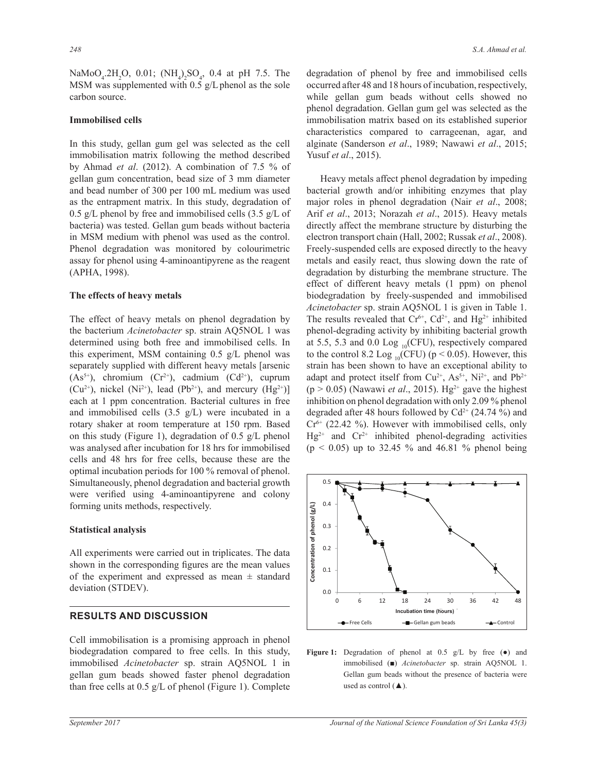$\text{NaMoO}_4$ .2H<sub>2</sub>O, 0.01;  $(\text{NH}_4)$ <sub>2</sub>SO<sub>4</sub>, 0.4 at pH 7.5. The MSM was supplemented with  $0.5$  g/L phenol as the sole carbon source.

#### **Immobilised cells**

In this study, gellan gum gel was selected as the cell immobilisation matrix following the method described by Ahmad *et al*. (2012). A combination of 7.5 % of gellan gum concentration, bead size of 3 mm diameter and bead number of 300 per 100 mL medium was used as the entrapment matrix. In this study, degradation of 0.5 g/L phenol by free and immobilised cells  $(3.5 \text{ g/L of})$ bacteria) was tested. Gellan gum beads without bacteria in MSM medium with phenol was used as the control. Phenol degradation was monitored by colourimetric assay for phenol using 4-aminoantipyrene as the reagent (APHA, 1998).

#### **The effects of heavy metals**

The effect of heavy metals on phenol degradation by the bacterium *Acinetobacter* sp. strain AQ5NOL 1 was determined using both free and immobilised cells. In this experiment, MSM containing  $0.5$  g/L phenol was separately supplied with different heavy metals [arsenic  $(As<sup>5+</sup>)$ , chromium  $(Cr<sup>2+</sup>)$ , cadmium  $(Cd<sup>2+</sup>)$ , cuprum  $(Cu^{2+})$ , nickel (Ni<sup>2+</sup>), lead (Pb<sup>2+</sup>), and mercury (Hg<sup>2+</sup>)] each at 1 ppm concentration. Bacterial cultures in free and immobilised cells  $(3.5 \text{ g/L})$  were incubated in a rotary shaker at room temperature at 150 rpm. Based on this study (Figure 1), degradation of 0.5 g/L phenol was analysed after incubation for 18 hrs for immobilised cells and 48 hrs for free cells, because these are the optimal incubation periods for 100 % removal of phenol. Simultaneously, phenol degradation and bacterial growth were verified using 4-aminoantipyrene and colony forming units methods, respectively.

#### **Statistical analysis**

All experiments were carried out in triplicates. The data shown in the corresponding figures are the mean values of the experiment and expressed as mean  $\pm$  standard deviation (STDEV).

## **RESULTS AND DISCUSSION**

Cell immobilisation is a promising approach in phenol biodegradation compared to free cells. In this study, immobilised *Acinetobacter* sp. strain AQ5NOL 1 in gellan gum beads showed faster phenol degradation than free cells at 0.5 g/L of phenol (Figure 1). Complete

degradation of phenol by free and immobilised cells occurred after 48 and 18 hours of incubation, respectively, while gellan gum beads without cells showed no phenol degradation. Gellan gum gel was selected as the immobilisation matrix based on its established superior characteristics compared to carrageenan, agar, and alginate (Sanderson et al., 1989; Nawawi et al., 2015; Yusuf *et al*., 2015).

 Heavy metals affect phenol degradation by impeding bacterial growth and/or inhibiting enzymes that play major roles in phenol degradation (Nair *et al*., 2008; Arif et al., 2013; Norazah et al., 2015). Heavy metals directly affect the membrane structure by disturbing the electron transport chain (Hall, 2002; Russak *et al*., 2008). Freely-suspended cells are exposed directly to the heavy metals and easily react, thus slowing down the rate of degradation by disturbing the membrane structure. The effect of different heavy metals (1 ppm) on phenol biodegradation by freely-suspended and immobilised *Acinetobacter* sp. strain AQ5NOL 1 is given in Table 1. The results revealed that  $Cr^{6+}$ ,  $Cd^{2+}$ , and  $Hg^{2+}$  inhibited phenol-degrading activity by inhibiting bacterial growth at 5.5, 5.3 and 0.0 Log  $_{10}$ (CFU), respectively compared to the control 8.2 Log  $_{10}$ (CFU) (p < 0.05). However, this strain has been shown to have an exceptional ability to adapt and protect itself from  $Cu^{2+}$ ,  $As^{5+}$ ,  $Ni^{2+}$ , and  $Pb^{2+}$  $(p > 0.05)$  (Nawawi *et al.*, 2015). Hg<sup>2+</sup> gave the highest inhibition on phenol degradation with only 2.09 % phenol degraded after 48 hours followed by Cd<sup>2+</sup> (24.74 %) and  $Cr<sup>6+</sup>$  (22.42 %). However with immobilised cells, only  $Hg^{2+}$  and  $Cr^{2+}$  inhibited phenol-degrading activities  $(p < 0.05)$  up to 32.45 % and 46.81 % phenol being



immobilised ( $\blacksquare$ ) *Acinetobacter* sp. strain AQ5NOL 1. Figure 1: Degradation of phenol at 0.5 g/L by free ( $\bullet$ ) and Gellan gum beads without the presence of bacteria were used as control  $(\triangle)$ .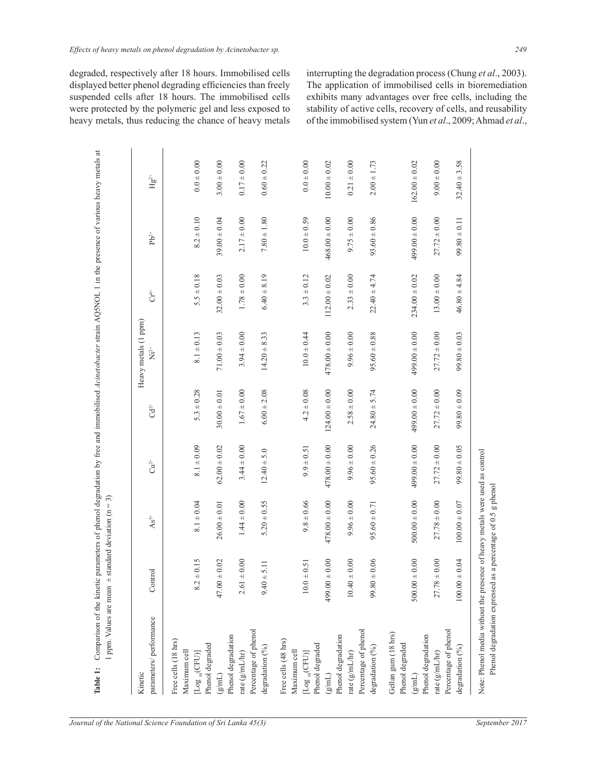degraded, respectively after 18 hours. Immobilised cells displayed better phenol degrading efficiencies than freely suspended cells after 18 hours. The immobilised cells were protected by the polymeric gel and less exposed to heavy metals, thus reducing the chance of heavy metals

interrupting the degradation process (Chung *et al*., 2003). The application of immobilised cells in bioremediation exhibits many advantages over free cells, including the stability of active cells, recovery of cells, and reusability of the immobilised system (Yun *et al*., 2009; Ahmad *et al*.,

|                                                |                    |                    |                   |                       | Heavy metals (1 ppm)    |                    |                   |                   |
|------------------------------------------------|--------------------|--------------------|-------------------|-----------------------|-------------------------|--------------------|-------------------|-------------------|
| parameters/ performance                        | Control            | $\mathrm{As}^{5+}$ | $\tilde{C}u^2$    | $\mathrm{G}^\ddagger$ | $\rm \ddot{N}^{2+}_{1}$ | $\sigma_{\rm C}^*$ | $Pb^{2+}$         | $He2+$            |
| Free cells (18 hrs)                            |                    |                    |                   |                       |                         |                    |                   |                   |
| Maximum cell                                   |                    |                    |                   |                       |                         |                    |                   |                   |
| Phenol degraded<br>$[Log_{10}(CFU)]$           | $8.2 \pm 0.15$     | $8.1 \pm 0.04$     | $8.1 \pm 0.09$    | $5.3 \pm 0.28$        | $8.1 \pm 0.13$          | $5.5 \pm 0.18$     | $8.2 \pm 0.10$    | $0.0 \pm 0.00$    |
| $(\mathsf{Im}\mathsf{L})$                      | $47.00 \pm 0.02$   | $26.00 \pm 0.01$   | $62.00 \pm 0.02$  | $30.00 \pm 0.01$      | $71.00 \pm 0.03$        | $32.00 \pm 0.03$   | $39.00 \pm 0.04$  | $3.00 \pm 0.00$   |
| Phenol degradation                             |                    |                    |                   |                       |                         |                    |                   |                   |
| rate (g/mL/hr)                                 | $\pm$ 0.00<br>2.61 | $1.44 \pm 0.00$    | $3.44 \pm 0.00$   | $1.67 \pm 0.00$       | $3.94 \pm 0.00$         | $1.78 \pm 0.00$    | $2.17 \pm 0.00$   | $0.17 \pm 0.00$   |
| Percentage of phenol                           |                    |                    |                   |                       |                         |                    |                   |                   |
| degradation (%)                                | ± 5.11<br>9.40     | $5.20 \pm 0.55$    | $12.40 \pm 5.0$   | $6.00 \pm 2.08$       | $14.20 \pm 8.33$        | $6.40 \pm 8.19$    | $7.80 \pm 1.80$   | $0.60 \pm 0.22$   |
| Free cells (48 hrs)                            |                    |                    |                   |                       |                         |                    |                   |                   |
| Maximum cell                                   |                    |                    |                   |                       |                         |                    |                   |                   |
| $[Log_{10}(CFU)]$                              | $\pm$ 0.51<br>10.0 | $9.8 \pm 0.66$     | $9.9 \pm 0.51$    | $4.2 \pm 0.08$        | $10.0 \pm 0.44$         | $3.3 \pm 0.12$     | $10.0 + 0.59$     | $0.0 + 0.00$      |
| Phenol degraded                                |                    |                    |                   |                       |                         |                    |                   |                   |
| $\left( \frac{\mathrm{g}}{\mathrm{mL}}\right)$ | $499.00 \pm 0.00$  | $478.00 \pm 0.00$  | $478.00 \pm 0.00$ | $124.00 \pm 0.00$     | $478.00 \pm 0.00$       | $112.00 \pm 0.02$  | $468.00 \pm 0.00$ | $10.00 \pm 0.02$  |
| Phenol degradation                             |                    |                    |                   |                       |                         |                    |                   |                   |
| rate $(g/mL/hr)$                               | $10.40 \pm 0.00$   | $9.96 \pm 0.00$    | $9.96 \pm 0.00$   | $2.58 \pm 0.00$       | $9.96 \pm 0.00$         | $2.33 \pm 0.00$    | $9.75 \pm 0.00$   | $0.21 \pm 0.00$   |
| Percentage of phenol                           |                    |                    |                   |                       |                         |                    |                   |                   |
| degradation (%)                                | $+0.06$<br>99.80   | $95.60 \pm 0.71$   | $95.60 \pm 0.26$  | $24.80 \pm 5.74$      | $95.60 \pm 0.88$        | $22.40 \pm 4.74$   | $93.60 \pm 0.86$  | $2.00 \pm 1.73$   |
| Gellan gum (18 hrs)                            |                    |                    |                   |                       |                         |                    |                   |                   |
| Phenol degraded                                |                    |                    |                   |                       |                         |                    |                   |                   |
| $\left( 2\text{mL}\right)$                     | $500.00 \pm 0.00$  | $500.00 \pm 0.00$  | $499.00 \pm 0.00$ | $499.00 \pm 0.00$     | $499.00 \pm 0.00$       | $234.00 \pm 0.02$  | $499.00 \pm 0.00$ | $162.00 \pm 0.02$ |
| Phenol degradation                             |                    |                    |                   |                       |                         |                    |                   |                   |
| rate (g/mL/hr)                                 | $27.78 \pm 0.00$   | $27.78 \pm 0.00$   | $27.72 \pm 0.00$  | $27.72 \pm 0.00$      | $27.72 \pm 0.00$        | $13.00 \pm 0.00$   | $27.72 \pm 0.00$  | $9.00 \pm 0.00$   |
| Percentage of phenol                           |                    |                    |                   |                       |                         |                    |                   |                   |
| degradation (%)                                | $100.00 \pm 0.04$  | $100.00 \pm 0.07$  | $99.80 \pm 0.05$  | $99.80 \pm 0.09$      | $99.80 \pm 0.03$        | $46.80 \pm 4.84$   | $99.80 \pm 0.11$  | $32.40 \pm 3.58$  |

Phenol degradation expressed as a percentage of 0.5 g phenol

Phenol degradation expressed as a percentage of 0.5 g phenol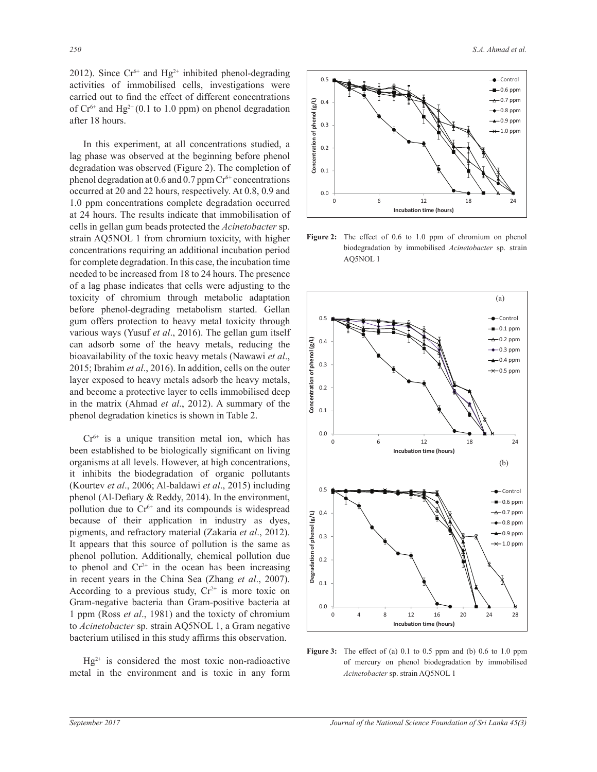2012). Since  $Cr^{6+}$  and  $Hg^{2+}$  inhibited phenol-degrading activities of immobilised cells, investigations were carried out to find the effect of different concentrations of  $Cr^{6+}$  and Hg<sup>2+</sup> (0.1 to 1.0 ppm) on phenol degradation after 18 hours.

 In this experiment, at all concentrations studied, a lag phase was observed at the beginning before phenol degradation was observed (Figure 2). The completion of phenol degradation at  $0.6$  and  $0.7$  ppm  $Cr<sup>6+</sup>$  concentrations occurred at 20 and 22 hours, respectively. At 0.8, 0.9 and 1.0 ppm concentrations complete degradation occurred at 24 hours. The results indicate that immobilisation of cells in gellan gum beads protected the *Acinetobacter* sp. strain AQ5NOL 1 from chromium toxicity, with higher concentrations requiring an additional incubation period for complete degradation. In this case, the incubation time needed to be increased from 18 to 24 hours. The presence of a lag phase indicates that cells were adjusting to the toxicity of chromium through metabolic adaptation before phenol-degrading metabolism started. Gellan gum offers protection to heavy metal toxicity through various ways (Yusuf et al., 2016). The gellan gum itself can adsorb some of the heavy metals, reducing the bioavailability of the toxic heavy metals (Nawawi et al., 2015; Ibrahim *et al*., 2016). In addition, cells on the outer layer exposed to heavy metals adsorb the heavy metals, and become a protective layer to cells immobilised deep in the matrix (Ahmad *et al*., 2012). A summary of the phenol degradation kinetics is shown in Table 2.

 $Cr<sup>6+</sup>$  is a unique transition metal ion, which has been established to be biologically significant on living organisms at all levels. However, at high concentrations, it inhibits the biodegradation of organic pollutants (Kourtev *et al.*, 2006; Al-baldawi *et al.*, 2015) including phenol (Al-Defiary & Reddy, 2014). In the environment, pollution due to  $Cr^{6+}$  and its compounds is widespread because of their application in industry as dyes, pigments, and refractory material (Zakaria *et al*., 2012). It appears that this source of pollution is the same as phenol pollution. Additionally, chemical pollution due to phenol and  $Cr^{2+}$  in the ocean has been increasing in recent years in the China Sea (Zhang *et al*., 2007). According to a previous study,  $Cr^{2+}$  is more toxic on Gram-negative bacteria than Gram-positive bacteria at 1 ppm (Ross *et al*., 1981) and the toxicty of chromium to *Acinetobacter* sp. strain AQ5NOL 1, a Gram negative bacterium utilised in this study affirms this observation.

 $Hg^{2+}$  is considered the most toxic non-radioactive metal in the environment and is toxic in any form



Figure 2: The effect of 0.6 to 1.0 ppm of chromium on phenol biodegradation by immobilised *Acinetobacter* sp. strain AQ5NOL 1



**Figure 3:** The effect of (a) 0.1 to 0.5 ppm and (b) 0.6 to 1.0 ppm of mercury on phenol biodegradation by immobilised *Acinetobacter* sp. strain AQ5NOL 1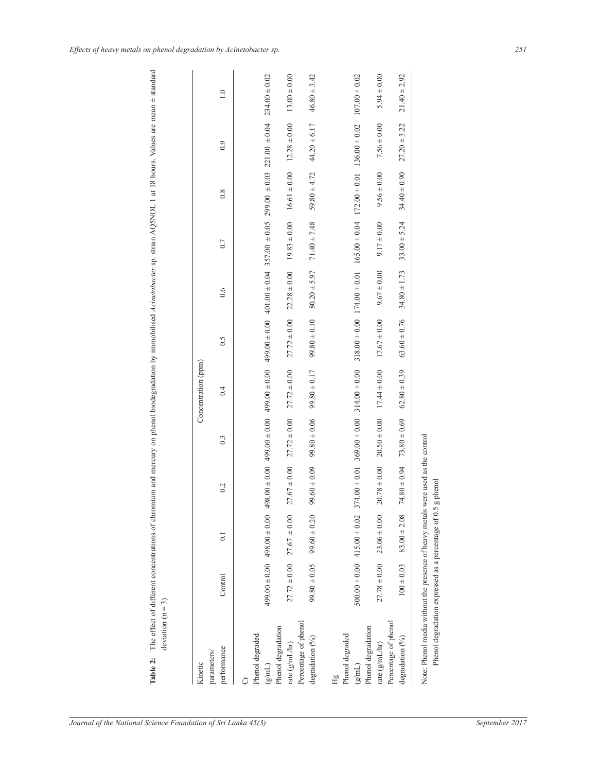| lues are mean $\pm$ sta              |                   |
|--------------------------------------|-------------------|
|                                      |                   |
|                                      |                   |
|                                      |                   |
|                                      |                   |
|                                      |                   |
|                                      |                   |
|                                      |                   |
| ---------                            |                   |
| 5                                    |                   |
| 75.0401                              |                   |
| <b>Canada</b>                        |                   |
|                                      |                   |
| i qo                                 |                   |
| $m \sim \text{keV}$                  |                   |
| tion                                 |                   |
|                                      |                   |
| : : : : : : : : : : :<br>.<br>?<br>? |                   |
|                                      |                   |
|                                      |                   |
| -- 12 23 1                           |                   |
|                                      |                   |
|                                      |                   |
|                                      |                   |
| an or and<br>¢                       |                   |
|                                      |                   |
|                                      |                   |
|                                      |                   |
|                                      |                   |
|                                      |                   |
|                                      | $\mathsf{I}$<br>ś |
|                                      |                   |
| l                                    |                   |

| Kinetic                                           |                   |                                     |                   |                  | Concentration (ppm) |                    |                  |                  |                                                                                                                                                                                                                                                                    |                   |                   |
|---------------------------------------------------|-------------------|-------------------------------------|-------------------|------------------|---------------------|--------------------|------------------|------------------|--------------------------------------------------------------------------------------------------------------------------------------------------------------------------------------------------------------------------------------------------------------------|-------------------|-------------------|
| performance<br>parameters/                        | Control           | 0.1                                 | 0.2               | 0.3              | 0.4                 | $\widetilde{0}$ .5 | 0.6              | 0.7              | 0.8                                                                                                                                                                                                                                                                | 0.9               |                   |
| Phenol degraded<br>Ò                              |                   |                                     |                   |                  |                     |                    |                  |                  |                                                                                                                                                                                                                                                                    |                   |                   |
| Phenol degradation<br>$\left( \text{g/mL}\right)$ |                   | $499.00 \pm 0.00$ 498.00 $\pm 0.00$ | Δ                 |                  |                     |                    |                  |                  | $9000 + 0000 + 0000 + 0000 + 0000 + 0000 + 0000 + 0000 + 0000 + 0000 + 0000 + 0000 + 0000 + 0000 + 0000 + 0000 + 0000 + 0000 + 0000 + 0000 + 0000 + 0000 + 0000 + 0000 + 0000 + 0000 + 0000 + 0000 + 0000 + 0000 + 0000 + 0000 + 0000 + 0000 + 0000 + 0000 + 0000$ |                   | $234.00 \pm 0.02$ |
| Percentage of phenol<br>rate $(g/mL/m)$           | $27.72 \pm 0.00$  | $27.67 \pm 0.00$                    | $27.67 \pm 0.00$  | $27.72 \pm 0.00$ | $27.72 \pm 0.00$    | $27.72 \pm 0.00$   | $22.28 \pm 0.00$ | $19.83 \pm 0.00$ | $16.61 \pm 0.00$                                                                                                                                                                                                                                                   | $12.28 \pm 0.00$  |                   |
| degradation (%)                                   | $99.80 \pm 0.05$  | $99.60 \pm 0.20$                    | $99.60 \pm 0.09$  | $99.80 \pm 0.06$ | $99.80 \pm 0.17$    | $99.80 \pm 0.10$   | $80.20 \pm 5.97$ | $71.40 \pm 7.48$ | $59.80 \pm 4.72$                                                                                                                                                                                                                                                   | $44.20 \pm 6.17$  | $46.80 \pm 3.42$  |
| Phenol degraded<br>Hg                             |                   |                                     |                   |                  |                     |                    |                  |                  |                                                                                                                                                                                                                                                                    |                   |                   |
| $\left( \mathrm{gm} \right)$                      | $500.00 \pm 0.00$ | $415.00 \pm 0.02$                   | $374.00 \pm 0.01$ | $369.00\pm0.00$  | $314.00 \pm 0.00$   | $318.00 \pm 0.00$  | $174.00\pm0.01$  |                  | $165.00 \pm 0.04$ 172.00 $\pm$ 0.01                                                                                                                                                                                                                                | $136.00 \pm 0.02$ | $107.00 \pm 0.02$ |
| Phenol degradation<br>rate $(g/mL/hr)$            | $27.78 \pm 0.00$  | $23.06 \pm 0.00$                    | $20.78 \pm 0.00$  | $20.50 \pm 0.00$ | $17.44 \pm 0.00$    | $17.67 \pm 0.00$   | $9.67 \pm 0.00$  | $9.17 \pm 0.00$  | $9.56 \pm 0.00$                                                                                                                                                                                                                                                    | $7.56 \pm 0.00$   |                   |
| Percentage of phenol<br>degradation (%)           | $100 \pm 0.03$    | $83.00 \pm 2.08$                    | $74.80 \pm 0.94$  | $73.80 \pm 0.69$ | $62.80 \pm 0.39$    | $63.60 \pm 0.76$   | $34.80 \pm 1.73$ | $33.00 \pm 5.24$ | $34.40 \pm 0.90$                                                                                                                                                                                                                                                   | $27.20 \pm 3.22$  |                   |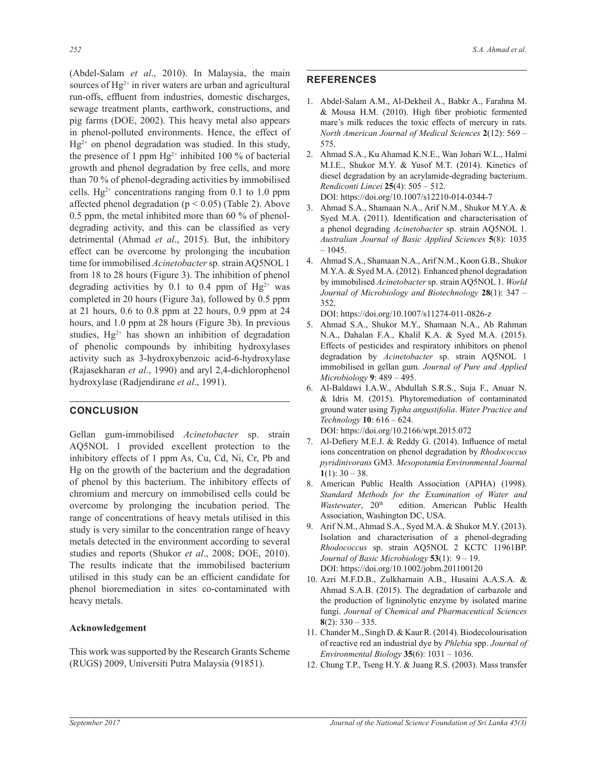(Abdel-Salam *et al*., 2010). In Malaysia, the main sources of Hg<sup>2+</sup> in river waters are urban and agricultural run-offs, effluent from industries, domestic discharges, sewage treatment plants, earthwork, constructions, and pig farms (DOE, 2002). This heavy metal also appears in phenol-polluted environments. Hence, the effect of  $Hg^{2+}$  on phenol degradation was studied. In this study, the presence of 1 ppm  $Hg^{2+}$  inhibited 100 % of bacterial growth and phenol degradation by free cells, and more than 70 % of phenol-degrading activities by immobilised cells.  $Hg^{2+}$  concentrations ranging from 0.1 to 1.0 ppm affected phenol degradation ( $p < 0.05$ ) (Table 2). Above 0.5 ppm, the metal inhibited more than 60 % of phenoldegrading activity, and this can be classified as very detrimental (Ahmad *et al*., 2015). But, the inhibitory effect can be overcome by prolonging the incubation time for immobilised *Acinetobacter* sp. strain AQ5NOL 1 from 18 to 28 hours (Figure 3). The inhibition of phenol degrading activities by 0.1 to 0.4 ppm of  $Hg^{2+}$  was completed in 20 hours (Figure 3a), followed by  $0.5$  ppm at 21 hours, 0.6 to 0.8 ppm at 22 hours, 0.9 ppm at 24 hours, and 1.0 ppm at 28 hours (Figure 3b). In previous studies,  $Hg^{2+}$  has shown an inhibition of degradation of phenolic compounds by inhibiting hydroxylases activity such as 3-hydroxybenzoic acid-6-hydroxylase (Rajasekharan *et al.*, 1990) and aryl 2,4-dichlorophenol hydroxylase (Radjendirane *et al*., 1991).

# **CONCLUSION**

Gellan gum-immobilised *Acinetobacter* sp. strain AQ5NOL 1 provided excellent protection to the inhibitory effects of 1 ppm As, Cu, Cd, Ni, Cr, Pb and Hg on the growth of the bacterium and the degradation of phenol by this bacterium. The inhibitory effects of chromium and mercury on immobilised cells could be overcome by prolonging the incubation period. The range of concentrations of heavy metals utilised in this study is very similar to the concentration range of heavy metals detected in the environment according to several studies and reports (Shukor *et al*., 2008; DOE, 2010). The results indicate that the immobilised bacterium utilised in this study can be an efficient candidate for phenol bioremediation in sites co-contaminated with heavy metals.

## **Acknowledgement**

This work was supported by the Research Grants Scheme (RUGS) 2009, Universiti Putra Malaysia (91851).

# **REFERENCES**

- 1. Abdel-Salam A.M., Al-Dekheil A., Babkr A., Farahna M.  $&$  Mousa H.M. (2010). High fiber probiotic fermented mare's milk reduces the toxic effects of mercury in rats. *North American Journal of Medical Sciences* **2**(12): 569 – 575.
- 2. Ahmad S.A., Ku Ahamad K.N.E., Wan Johari W.L., Halmi M.I.E., Shukor M.Y. & Yusof M.T. (2014). Kinetics of diesel degradation by an acrylamide-degrading bacterium. *Rendiconti Lincei* **25**(4): 505 – 512. DOI: https://doi.org/10.1007/s12210-014-0344-7
- 3. Ahmad S.A., Shamaan N.A., Arif N.M., Shukor M.Y.A. & Syed M.A. (2011). Identification and characterisation of a phenol degrading *Acinetobacter* sp. strain AQ5NOL 1. *Australian Journal of Basic Applied Sciences* **5**(8): 1035  $-1045.$
- 4. Ahmad S.A., Shamaan N.A., Arif N.M., Koon G.B., Shukor M.Y.A. & Syed M.A. (2012). Enhanced phenol degradation by immobilised *Acinetobacter* sp. strain AQ5NOL 1. *World Journal of Microbiology and Biotechnology* **28**(1): 347 – 352.

DOI: https://doi.org/10.1007/s11274-011-0826-z

- 5. Ahmad S.A., Shukor M.Y., Shamaan N.A., Ab Rahman N.A., Dahalan F.A., Khalil K.A. & Sved M.A. (2015). Effects of pesticides and respiratory inhibitors on phenol degradation by *Acinetobacter* sp. strain AQ5NOL 1 immobilised in gellan gum. *Journal of Pure and Applied Microbiology* **9**: 489 – 495.
- 6. Al-Baldawi I.A.W., Abdullah S.R.S., Suja F., Anuar N.  $& Idris$  M. (2015). Phytoremediation of contaminated ground water using Typha angustifolia. Water Practice and *Technology* **10**: 616 – 624. DOI: https://doi.org/10.2166/wpt.2015.072

7. Al-Defiery M.E.J. & Reddy G. (2014). Influence of metal

- ions concentration on phenol degradation by *Rhodococcus pyridinivorans* \*0*Mesopotamia Environmental Journal* **1**(1):  $30 - 38$ .
- 8. American Public Health Association (APHA) (1998). *Standard Methods for the Examination of Water and*  Wastewater, 20<sup>th</sup> edition. American Public Health Association, Washington DC, USA.
- 9. Arif N.M., Ahmad S.A., Syed M.A. & Shukor M.Y. (2013). Isolation and characterisation of a phenol-degrading *Rhodococcus* sp. strain AQ5NOL 2 KCTC 11961BP. *Journal of Basic Microbiology* **53**(1): 9 – 19. DOI: https://doi.org/10.1002/jobm.201100120
- 10. Azri M.F.D.B., Zulkharnain A.B., Husaini A.A.S.A. & Ahmad S.A.B. (2015). The degradation of carbazole and the production of ligninolytic enzyme by isolated marine fungi. *Journal of Chemical and Pharmaceutical Sciences* **8**(2): 330 – 335.
- 11. Chander M., Singh D. & Kaur R. (2014). Biodecolourisation of reactive red an industrial dye by *Phlebia* spp. *Journal of Environmental Biology* **35**(6): 1031 – 1036.
- 12. Chung T.P., Tseng H.Y. & Juang R.S. (2003). Mass transfer